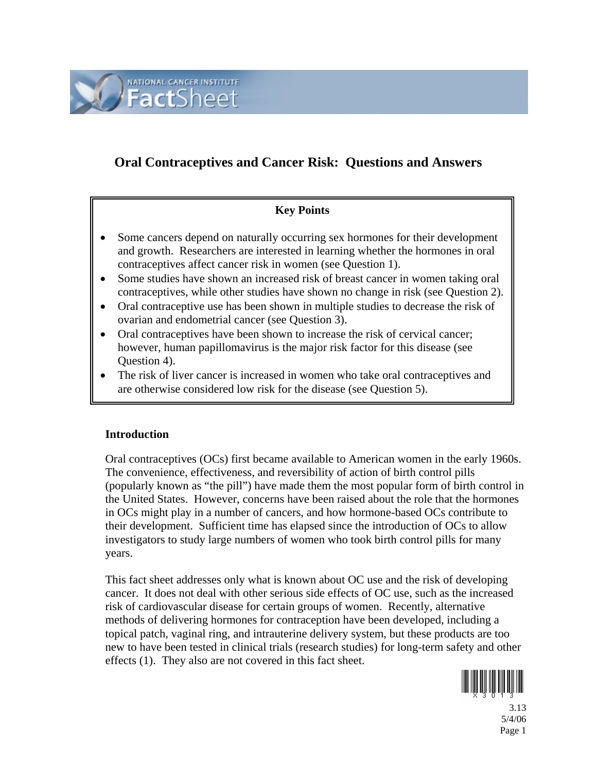

# **Oral Contraceptives and Cancer Risk: Questions and Answers**

## **Key Points**

- Some cancers depend on naturally occurring sex hormones for their development and growth. Researchers are interested in learning whether the hormones in oral contraceptives affect cancer risk in women (see Question 1).
- Some studies have shown an increased risk of breast cancer in women taking oral contraceptives, while other studies have shown no change in risk (see Question 2).
- Oral contraceptive use has been shown in multiple studies to decrease the risk of ovarian and endometrial cancer (see Question 3).
- Oral contraceptives have been shown to increase the risk of cervical cancer; however, human papillomavirus is the major risk factor for this disease (see Question 4).
- The risk of liver cancer is increased in women who take oral contraceptives and are otherwise considered low risk for the disease (see Question 5).

## **Introduction**

Oral contraceptives (OCs) first became available to American women in the early 1960s. The convenience, effectiveness, and reversibility of action of birth control pills (popularly known as "the pill") have made them the most popular form of birth control in the United States. However, concerns have been raised about the role that the hormones in OCs might play in a number of cancers, and how hormone-based OCs contribute to their development. Sufficient time has elapsed since the introduction of OCs to allow investigators to study large numbers of women who took birth control pills for many years.

This fact sheet addresses only what is known about OC use and the risk of developing cancer. It does not deal with other serious side effects of OC use, such as the increased risk of cardiovascular disease for certain groups of women. Recently, alternative methods of delivering hormones for contraception have been developed, including a topical patch, vaginal ring, and intrauterine delivery system, but these products are too new to have been tested in clinical trials (research studies) for long-term safety and other effects (1). They also are not covered in this fact sheet.



3.13 5/4/06 Page 1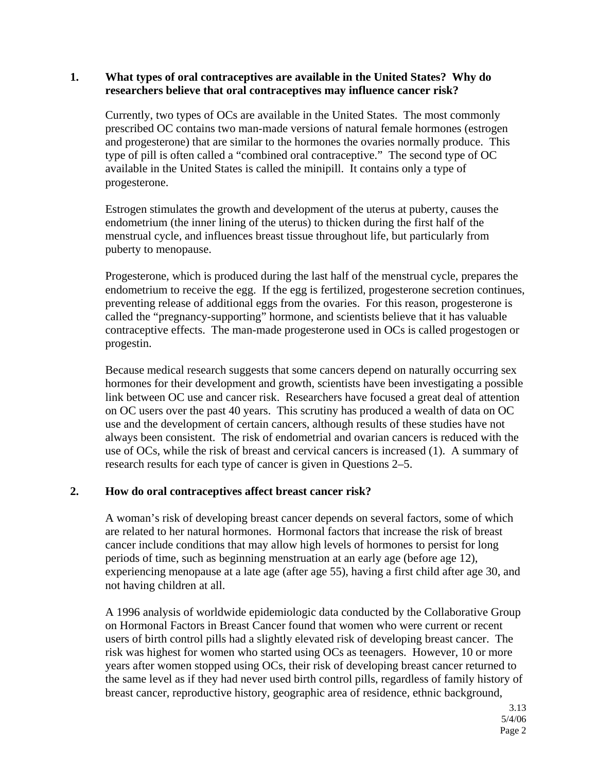## **1. What types of oral contraceptives are available in the United States? Why do researchers believe that oral contraceptives may influence cancer risk?**

Currently, two types of OCs are available in the United States. The most commonly prescribed OC contains two man-made versions of natural female hormones (estrogen and progesterone) that are similar to the hormones the ovaries normally produce. This type of pill is often called a "combined oral contraceptive." The second type of OC available in the United States is called the minipill. It contains only a type of progesterone.

Estrogen stimulates the growth and development of the uterus at puberty, causes the endometrium (the inner lining of the uterus) to thicken during the first half of the menstrual cycle, and influences breast tissue throughout life, but particularly from puberty to menopause.

Progesterone, which is produced during the last half of the menstrual cycle, prepares the endometrium to receive the egg. If the egg is fertilized, progesterone secretion continues, preventing release of additional eggs from the ovaries. For this reason, progesterone is called the "pregnancy-supporting" hormone, and scientists believe that it has valuable contraceptive effects. The man-made progesterone used in OCs is called progestogen or progestin.

Because medical research suggests that some cancers depend on naturally occurring sex hormones for their development and growth, scientists have been investigating a possible link between OC use and cancer risk. Researchers have focused a great deal of attention on OC users over the past 40 years. This scrutiny has produced a wealth of data on OC use and the development of certain cancers, although results of these studies have not always been consistent. The risk of endometrial and ovarian cancers is reduced with the use of OCs, while the risk of breast and cervical cancers is increased (1). A summary of research results for each type of cancer is given in Questions 2–5.

## **2. How do oral contraceptives affect breast cancer risk?**

A woman's risk of developing breast cancer depends on several factors, some of which are related to her natural hormones. Hormonal factors that increase the risk of breast cancer include conditions that may allow high levels of hormones to persist for long periods of time, such as beginning menstruation at an early age (before age 12), experiencing menopause at a late age (after age 55), having a first child after age 30, and not having children at all.

A 1996 analysis of worldwide epidemiologic data conducted by the Collaborative Group on Hormonal Factors in Breast Cancer found that women who were current or recent users of birth control pills had a slightly elevated risk of developing breast cancer. The risk was highest for women who started using OCs as teenagers. However, 10 or more years after women stopped using OCs, their risk of developing breast cancer returned to the same level as if they had never used birth control pills, regardless of family history of breast cancer, reproductive history, geographic area of residence, ethnic background,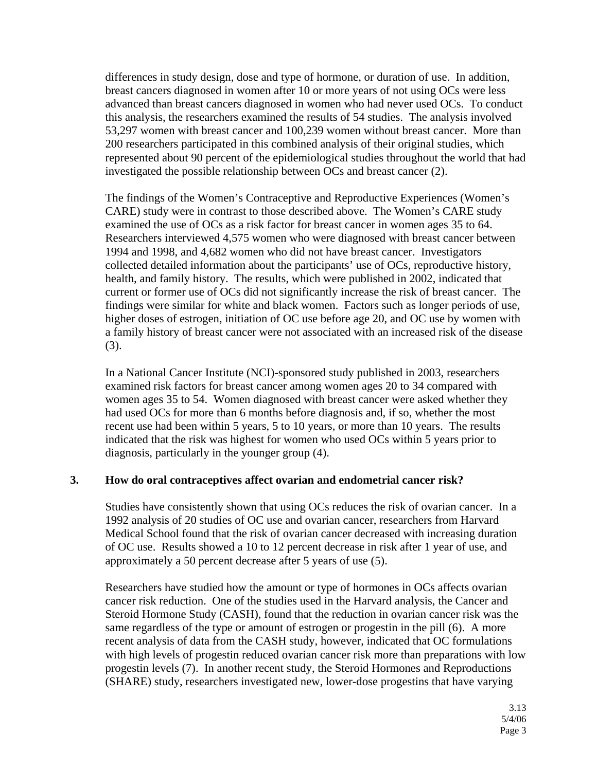differences in study design, dose and type of hormone, or duration of use. In addition, breast cancers diagnosed in women after 10 or more years of not using OCs were less advanced than breast cancers diagnosed in women who had never used OCs. To conduct this analysis, the researchers examined the results of 54 studies. The analysis involved 53,297 women with breast cancer and 100,239 women without breast cancer. More than 200 researchers participated in this combined analysis of their original studies, which represented about 90 percent of the epidemiological studies throughout the world that had investigated the possible relationship between OCs and breast cancer (2).

The findings of the Women's Contraceptive and Reproductive Experiences (Women's CARE) study were in contrast to those described above. The Women's CARE study examined the use of OCs as a risk factor for breast cancer in women ages 35 to 64. Researchers interviewed 4,575 women who were diagnosed with breast cancer between 1994 and 1998, and 4,682 women who did not have breast cancer. Investigators collected detailed information about the participants' use of OCs, reproductive history, health, and family history. The results, which were published in 2002, indicated that current or former use of OCs did not significantly increase the risk of breast cancer. The findings were similar for white and black women. Factors such as longer periods of use, higher doses of estrogen, initiation of OC use before age 20, and OC use by women with a family history of breast cancer were not associated with an increased risk of the disease (3).

In a National Cancer Institute (NCI)-sponsored study published in 2003, researchers examined risk factors for breast cancer among women ages 20 to 34 compared with women ages 35 to 54. Women diagnosed with breast cancer were asked whether they had used OCs for more than 6 months before diagnosis and, if so, whether the most recent use had been within 5 years, 5 to 10 years, or more than 10 years. The results indicated that the risk was highest for women who used OCs within 5 years prior to diagnosis, particularly in the younger group (4).

## **3. How do oral contraceptives affect ovarian and endometrial cancer risk?**

Studies have consistently shown that using OCs reduces the risk of ovarian cancer. In a 1992 analysis of 20 studies of OC use and ovarian cancer, researchers from Harvard Medical School found that the risk of ovarian cancer decreased with increasing duration of OC use. Results showed a 10 to 12 percent decrease in risk after 1 year of use, and approximately a 50 percent decrease after 5 years of use (5).

Researchers have studied how the amount or type of hormones in OCs affects ovarian cancer risk reduction. One of the studies used in the Harvard analysis, the Cancer and Steroid Hormone Study (CASH), found that the reduction in ovarian cancer risk was the same regardless of the type or amount of estrogen or progestin in the pill (6). A more recent analysis of data from the CASH study, however, indicated that OC formulations with high levels of progestin reduced ovarian cancer risk more than preparations with low progestin levels (7). In another recent study, the Steroid Hormones and Reproductions (SHARE) study, researchers investigated new, lower-dose progestins that have varying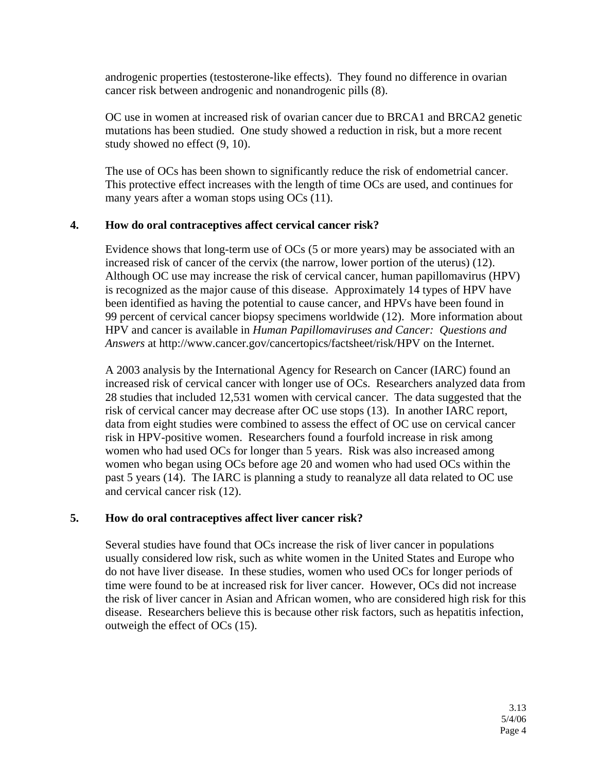androgenic properties (testosterone-like effects). They found no difference in ovarian cancer risk between androgenic and nonandrogenic pills (8).

OC use in women at increased risk of ovarian cancer due to BRCA1 and BRCA2 genetic mutations has been studied. One study showed a reduction in risk, but a more recent study showed no effect (9, 10).

The use of OCs has been shown to significantly reduce the risk of endometrial cancer. This protective effect increases with the length of time OCs are used, and continues for many years after a woman stops using OCs (11).

## **4. How do oral contraceptives affect cervical cancer risk?**

Evidence shows that long-term use of OCs (5 or more years) may be associated with an increased risk of cancer of the cervix (the narrow, lower portion of the uterus) (12). Although OC use may increase the risk of cervical cancer, human papillomavirus (HPV) is recognized as the major cause of this disease. Approximately 14 types of HPV have been identified as having the potential to cause cancer, and HPVs have been found in 99 percent of cervical cancer biopsy specimens worldwide (12). More information about HPV and cancer is available in *Human Papillomaviruses and Cancer: Questions and Answers* at http://www.cancer.gov/cancertopics/factsheet/risk/HPV on the Internet.

A 2003 analysis by the International Agency for Research on Cancer (IARC) found an increased risk of cervical cancer with longer use of OCs. Researchers analyzed data from 28 studies that included 12,531 women with cervical cancer. The data suggested that the risk of cervical cancer may decrease after OC use stops (13). In another IARC report, data from eight studies were combined to assess the effect of OC use on cervical cancer risk in HPV-positive women. Researchers found a fourfold increase in risk among women who had used OCs for longer than 5 years. Risk was also increased among women who began using OCs before age 20 and women who had used OCs within the past 5 years (14). The IARC is planning a study to reanalyze all data related to OC use and cervical cancer risk (12).

## **5. How do oral contraceptives affect liver cancer risk?**

Several studies have found that OCs increase the risk of liver cancer in populations usually considered low risk, such as white women in the United States and Europe who do not have liver disease. In these studies, women who used OCs for longer periods of time were found to be at increased risk for liver cancer. However, OCs did not increase the risk of liver cancer in Asian and African women, who are considered high risk for this disease. Researchers believe this is because other risk factors, such as hepatitis infection, outweigh the effect of OCs (15).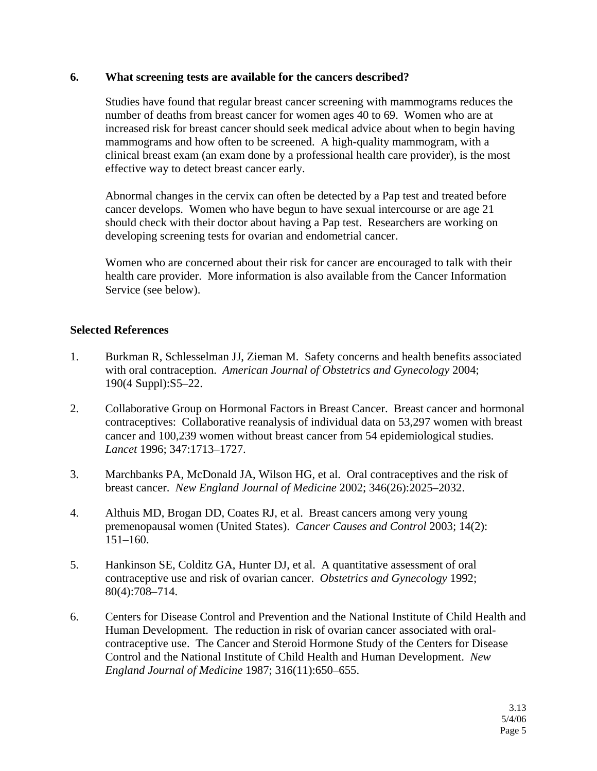## **6. What screening tests are available for the cancers described?**

Studies have found that regular breast cancer screening with mammograms reduces the number of deaths from breast cancer for women ages 40 to 69. Women who are at increased risk for breast cancer should seek medical advice about when to begin having mammograms and how often to be screened. A high-quality mammogram, with a clinical breast exam (an exam done by a professional health care provider), is the most effective way to detect breast cancer early.

Abnormal changes in the cervix can often be detected by a Pap test and treated before cancer develops. Women who have begun to have sexual intercourse or are age 21 should check with their doctor about having a Pap test. Researchers are working on developing screening tests for ovarian and endometrial cancer.

Women who are concerned about their risk for cancer are encouraged to talk with their health care provider. More information is also available from the Cancer Information Service (see below).

## **Selected References**

- 1. Burkman R, Schlesselman JJ, Zieman M. Safety concerns and health benefits associated with oral contraception. *American Journal of Obstetrics and Gynecology* 2004; 190(4 Suppl):S5–22.
- 2. Collaborative Group on Hormonal Factors in Breast Cancer. Breast cancer and hormonal contraceptives: Collaborative reanalysis of individual data on 53,297 women with breast cancer and 100,239 women without breast cancer from 54 epidemiological studies. *Lancet* 1996; 347:1713–1727.
- 3. Marchbanks PA, McDonald JA, Wilson HG, et al. Oral contraceptives and the risk of breast cancer. *New England Journal of Medicine* 2002; 346(26):2025–2032.
- 4. Althuis MD, Brogan DD, Coates RJ, et al. Breast cancers among very young premenopausal women (United States). *Cancer Causes and Control* 2003; 14(2):  $151-160.$
- 5. Hankinson SE, Colditz GA, Hunter DJ, et al. A quantitative assessment of oral contraceptive use and risk of ovarian cancer. *Obstetrics and Gynecology* 1992; 80(4):708–714.
- 6. Centers for Disease Control and Prevention and the National Institute of Child Health and Human Development. The reduction in risk of ovarian cancer associated with oralcontraceptive use. The Cancer and Steroid Hormone Study of the Centers for Disease Control and the National Institute of Child Health and Human Development. *New England Journal of Medicine* 1987; 316(11):650–655.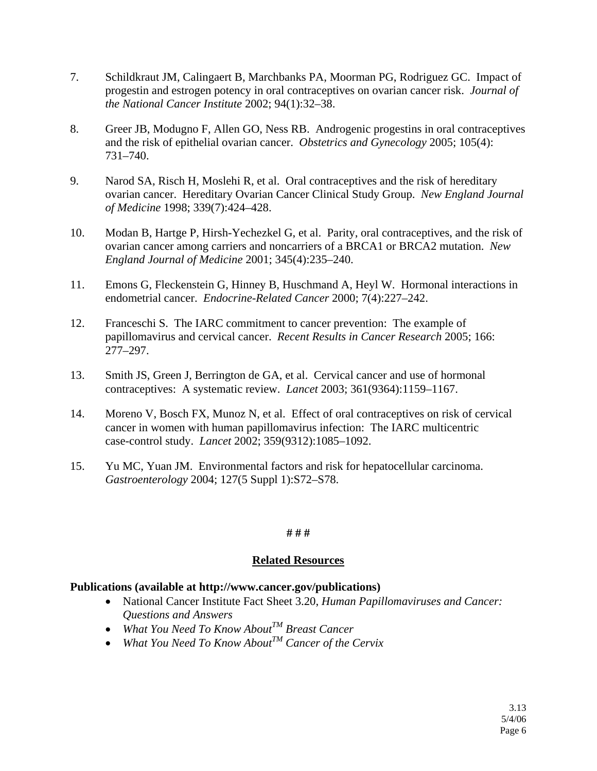- 7. Schildkraut JM, Calingaert B, Marchbanks PA, Moorman PG, Rodriguez GC. Impact of progestin and estrogen potency in oral contraceptives on ovarian cancer risk. *Journal of the National Cancer Institute* 2002; 94(1):32–38.
- 8. Greer JB, Modugno F, Allen GO, Ness RB. Androgenic progestins in oral contraceptives and the risk of epithelial ovarian cancer. *Obstetrics and Gynecology* 2005; 105(4): 731–740.
- 9. Narod SA, Risch H, Moslehi R, et al. Oral contraceptives and the risk of hereditary ovarian cancer. Hereditary Ovarian Cancer Clinical Study Group. *New England Journal of Medicine* 1998; 339(7):424–428.
- 10. Modan B, Hartge P, Hirsh-Yechezkel G, et al. Parity, oral contraceptives, and the risk of ovarian cancer among carriers and noncarriers of a BRCA1 or BRCA2 mutation. *New England Journal of Medicine* 2001; 345(4):235–240.
- 11. Emons G, Fleckenstein G, Hinney B, Huschmand A, Heyl W. Hormonal interactions in endometrial cancer. *Endocrine-Related Cancer* 2000; 7(4):227–242.
- 12. Franceschi S. The IARC commitment to cancer prevention: The example of papillomavirus and cervical cancer. *Recent Results in Cancer Research* 2005; 166: 277–297.
- 13. Smith JS, Green J, Berrington de GA, et al. Cervical cancer and use of hormonal contraceptives: A systematic review. *Lancet* 2003; 361(9364):1159–1167.
- 14. Moreno V, Bosch FX, Munoz N, et al. Effect of oral contraceptives on risk of cervical cancer in women with human papillomavirus infection: The IARC multicentric case-control study. *Lancet* 2002; 359(9312):1085–1092.
- 15. Yu MC, Yuan JM. Environmental factors and risk for hepatocellular carcinoma. *Gastroenterology* 2004; 127(5 Suppl 1):S72–S78.

## **# # #**

## **Related Resources**

## **Publications (available at http://www.cancer.gov/publications)**

- National Cancer Institute Fact Sheet 3.20, *Human Papillomaviruses and Cancer: Questions and Answers*
- *What You Need To Know AboutTM Breast Cancer*
- *What You Need To Know AboutTM Cancer of the Cervix*